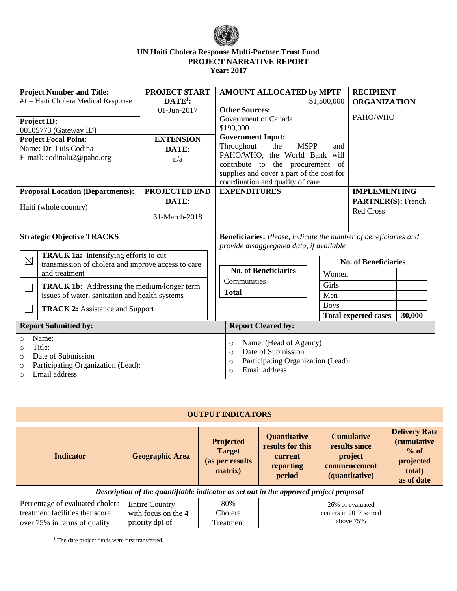

| <b>Project Number and Title:</b>                             | <b>PROJECT START</b>                      | AMOUNT ALLOCATED by MPTF                                                                         |                     | <b>RECIPIENT</b>            |        |
|--------------------------------------------------------------|-------------------------------------------|--------------------------------------------------------------------------------------------------|---------------------|-----------------------------|--------|
| #1 - Haiti Cholera Medical Response                          | $DATE1$ :                                 |                                                                                                  | <b>ORGANIZATION</b> |                             |        |
|                                                              |                                           |                                                                                                  | \$1,500,000         |                             |        |
|                                                              | 01-Jun-2017                               | <b>Other Sources:</b>                                                                            |                     | PAHO/WHO                    |        |
| <b>Project ID:</b>                                           |                                           | Government of Canada                                                                             |                     |                             |        |
| 00105773 (Gateway ID)                                        |                                           | \$190,000                                                                                        |                     |                             |        |
| <b>Project Focal Point:</b>                                  | <b>EXTENSION</b>                          | <b>Government Input:</b>                                                                         |                     |                             |        |
| Name: Dr. Luis Codina                                        | Throughout<br><b>MSPP</b><br>the<br>DATE: |                                                                                                  | and                 |                             |        |
| E-mail: codinalu2@paho.org                                   | n/a                                       | PAHO/WHO, the World Bank will                                                                    |                     |                             |        |
|                                                              |                                           | contribute to the procurement                                                                    | of                  |                             |        |
|                                                              |                                           | supplies and cover a part of the cost for                                                        |                     |                             |        |
|                                                              |                                           | coordination and quality of care                                                                 |                     |                             |        |
| <b>Proposal Location (Departments):</b>                      | PROJECTED END                             | <b>EXPENDITURES</b>                                                                              |                     | <b>IMPLEMENTING</b>         |        |
|                                                              | DATE:                                     |                                                                                                  |                     | <b>PARTNER(S):</b> French   |        |
| Haiti (whole country)                                        |                                           |                                                                                                  |                     | <b>Red Cross</b>            |        |
|                                                              | 31-March-2018                             |                                                                                                  |                     |                             |        |
|                                                              |                                           |                                                                                                  |                     |                             |        |
| <b>Strategic Objective TRACKS</b>                            |                                           | <b>Beneficiaries:</b> Please, indicate the number of beneficiaries and                           |                     |                             |        |
|                                                              |                                           | provide disaggregated data, if available                                                         |                     |                             |        |
|                                                              |                                           |                                                                                                  |                     |                             |        |
| <b>TRACK 1a:</b> Intensifying efforts to cut<br>$\boxtimes$  |                                           |                                                                                                  |                     | <b>No. of Beneficiaries</b> |        |
| transmission of cholera and improve access to care           |                                           | <b>No. of Beneficiaries</b><br>Women<br>Communities<br>Girls<br><b>Total</b><br>Men              |                     |                             |        |
| and treatment                                                |                                           |                                                                                                  |                     |                             |        |
| <b>TRACK 1b:</b> Addressing the medium/longer term<br>$\Box$ |                                           |                                                                                                  |                     |                             |        |
| issues of water, sanitation and health systems               |                                           |                                                                                                  |                     |                             |        |
|                                                              |                                           |                                                                                                  | <b>Boys</b>         |                             |        |
| <b>TRACK 2: Assistance and Support</b>                       |                                           |                                                                                                  |                     | <b>Total expected cases</b> | 30,000 |
|                                                              |                                           |                                                                                                  |                     |                             |        |
| <b>Report Submitted by:</b>                                  |                                           | <b>Report Cleared by:</b>                                                                        |                     |                             |        |
| Name:<br>$\circ$                                             |                                           | Name: (Head of Agency)<br>$\circ$                                                                |                     |                             |        |
| Title:<br>$\Omega$                                           |                                           | Date of Submission<br>$\Omega$<br>Participating Organization (Lead):<br>$\circ$<br>Email address |                     |                             |        |
| Date of Submission<br>$\circ$                                |                                           |                                                                                                  |                     |                             |        |
| Participating Organization (Lead):<br>$\circ$                |                                           |                                                                                                  |                     |                             |        |
| Email address<br>$\circ$                                     |                                           | $\Omega$                                                                                         |                     |                             |        |

| <b>OUTPUT INDICATORS</b>                                                                           |                                                                 |                                                                 |                                                                           |                                                                                 |                                                                                            |  |  |  |
|----------------------------------------------------------------------------------------------------|-----------------------------------------------------------------|-----------------------------------------------------------------|---------------------------------------------------------------------------|---------------------------------------------------------------------------------|--------------------------------------------------------------------------------------------|--|--|--|
| <b>Indicator</b>                                                                                   | <b>Geographic Area</b>                                          | <b>Projected</b><br><b>Target</b><br>(as per results<br>matrix) | <b>Quantitative</b><br>results for this<br>current<br>reporting<br>period | <b>Cumulative</b><br>results since<br>project<br>commencement<br>(quantitative) | <b>Delivery Rate</b><br><i>(cumulative</i><br>$\%$ of<br>projected<br>total)<br>as of date |  |  |  |
| Description of the quantifiable indicator as set out in the approved project proposal              |                                                                 |                                                                 |                                                                           |                                                                                 |                                                                                            |  |  |  |
| Percentage of evaluated cholera<br>treatment facilities that score<br>over 75% in terms of quality | <b>Entire Country</b><br>with focus on the 4<br>priority dpt of | 80%<br>Cholera<br>Treatment                                     |                                                                           | 26% of evaluated<br>centers in 2017 scored<br>above 75%                         |                                                                                            |  |  |  |

 $\overline{a}$ <sup>1</sup> The date project funds were first transferred.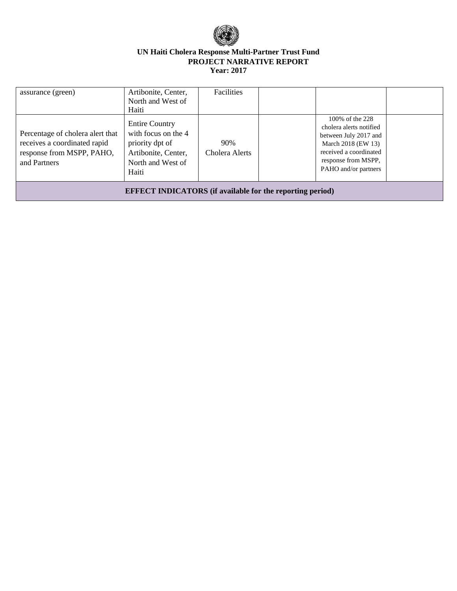

| assurance (green)                                                                                             | Artibonite, Center,<br>North and West of<br>Haiti                                                                    | Facilities            |                                                                                                                                                                    |  |  |  |
|---------------------------------------------------------------------------------------------------------------|----------------------------------------------------------------------------------------------------------------------|-----------------------|--------------------------------------------------------------------------------------------------------------------------------------------------------------------|--|--|--|
| Percentage of cholera alert that<br>receives a coordinated rapid<br>response from MSPP, PAHO,<br>and Partners | <b>Entire Country</b><br>with focus on the 4<br>priority dpt of<br>Artibonite, Center,<br>North and West of<br>Haiti | 90%<br>Cholera Alerts | 100% of the 228<br>cholera alerts notified<br>between July 2017 and<br>March 2018 (EW 13)<br>received a coordinated<br>response from MSPP,<br>PAHO and/or partners |  |  |  |
| <b>EFFECT INDICATORS</b> (if available for the reporting period)                                              |                                                                                                                      |                       |                                                                                                                                                                    |  |  |  |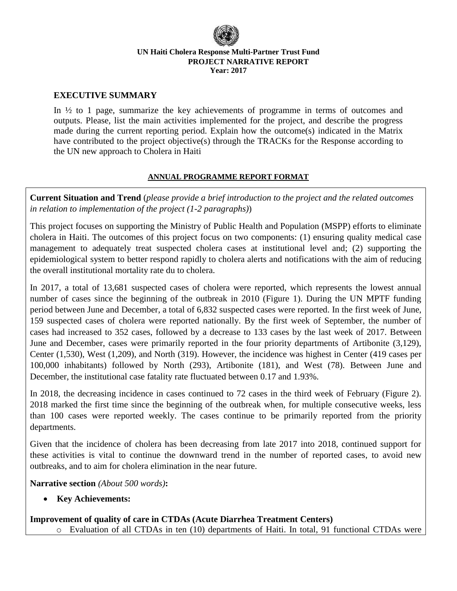

### **EXECUTIVE SUMMARY**

In ½ to 1 page, summarize the key achievements of programme in terms of outcomes and outputs. Please, list the main activities implemented for the project, and describe the progress made during the current reporting period. Explain how the outcome(s) indicated in the Matrix have contributed to the project objective(s) through the TRACKs for the Response according to the UN new approach to Cholera in Haiti

### **ANNUAL PROGRAMME REPORT FORMAT**

**Current Situation and Trend** (*please provide a brief introduction to the project and the related outcomes in relation to implementation of the project (1-2 paragraphs)*)

This project focuses on supporting the Ministry of Public Health and Population (MSPP) efforts to eliminate cholera in Haiti. The outcomes of this project focus on two components: (1) ensuring quality medical case management to adequately treat suspected cholera cases at institutional level and; (2) supporting the epidemiological system to better respond rapidly to cholera alerts and notifications with the aim of reducing the overall institutional mortality rate du to cholera.

In 2017, a total of 13,681 suspected cases of cholera were reported, which represents the lowest annual number of cases since the beginning of the outbreak in 2010 (Figure 1). During the UN MPTF funding period between June and December, a total of 6,832 suspected cases were reported. In the first week of June, 159 suspected cases of cholera were reported nationally. By the first week of September, the number of cases had increased to 352 cases, followed by a decrease to 133 cases by the last week of 2017. Between June and December, cases were primarily reported in the four priority departments of Artibonite (3,129), Center (1,530), West (1,209), and North (319). However, the incidence was highest in Center (419 cases per 100,000 inhabitants) followed by North (293), Artibonite (181), and West (78). Between June and December, the institutional case fatality rate fluctuated between 0.17 and 1.93%.

In 2018, the decreasing incidence in cases continued to 72 cases in the third week of February (Figure 2). 2018 marked the first time since the beginning of the outbreak when, for multiple consecutive weeks, less than 100 cases were reported weekly. The cases continue to be primarily reported from the priority departments.

Given that the incidence of cholera has been decreasing from late 2017 into 2018, continued support for these activities is vital to continue the downward trend in the number of reported cases, to avoid new outbreaks, and to aim for cholera elimination in the near future.

**Narrative section** *(About 500 words)***:**

• **Key Achievements:**

**Improvement of quality of care in CTDAs (Acute Diarrhea Treatment Centers)**

o Evaluation of all CTDAs in ten (10) departments of Haiti. In total, 91 functional CTDAs were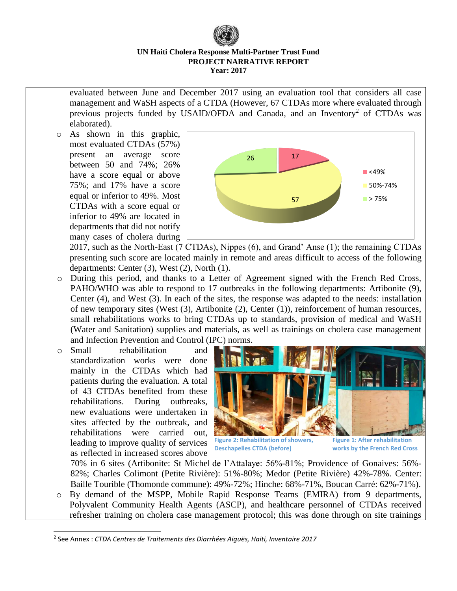evaluated between June and December 2017 using an evaluation tool that considers all case management and WaSH aspects of a CTDA (However, 67 CTDAs more where evaluated through previous projects funded by USAID/OFDA and Canada, and an Inventory<sup>2</sup> of CTDAs was elaborated).

o As shown in this graphic, most evaluated CTDAs (57%) present an average score between 50 and 74%; 26% have a score equal or above 75%; and 17% have a score equal or inferior to 49%. Most CTDAs with a score equal or inferior to 49% are located in departments that did not notify many cases of cholera during



2017, such as the North-East (7 CTDAs), Nippes (6), and Grand' Anse (1); the remaining CTDAs presenting such score are located mainly in remote and areas difficult to access of the following departments: Center (3), West (2), North (1).

- o During this period, and thanks to a Letter of Agreement signed with the French Red Cross, PAHO/WHO was able to respond to 17 outbreaks in the following departments: Artibonite (9), Center (4), and West (3). In each of the sites, the response was adapted to the needs: installation of new temporary sites (West (3), Artibonite (2), Center (1)), reinforcement of human resources, small rehabilitations works to bring CTDAs up to standards, provision of medical and WaSH (Water and Sanitation) supplies and materials, as well as trainings on cholera case management and Infection Prevention and Control (IPC) norms.
- o Small rehabilitation and standardization works were done mainly in the CTDAs which had patients during the evaluation. A total of 43 CTDAs benefited from these rehabilitations. During outbreaks, new evaluations were undertaken in sites affected by the outbreak, and rehabilitations were carried out, leading to improve quality of services as reflected in increased scores above

 $\overline{a}$ 



**Figure 2: Rehabilitation of showers, Deschapelles CTDA (before)**

**Figure 1: After rehabilitation works by the French Red Cross**

70% in 6 sites (Artibonite: St Michel de l'Attalaye: 56%-81%; Providence of Gonaives: 56%- 82%; Charles Colimont (Petite Rivière): 51%-80%; Medor (Petite Rivière) 42%-78%. Center: Baille Tourible (Thomonde commune): 49%-72%; Hinche: 68%-71%, Boucan Carré: 62%-71%).

o By demand of the MSPP, Mobile Rapid Response Teams (EMIRA) from 9 departments, Polyvalent Community Health Agents (ASCP), and healthcare personnel of CTDAs received refresher training on cholera case management protocol; this was done through on site trainings

<sup>2</sup> See Annex : *CTDA Centres de Traitements des Diarrhées Aiguës, Haiti, Inventaire 2017*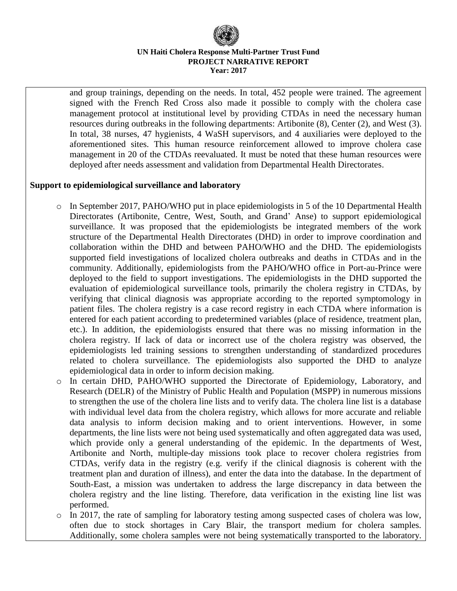and group trainings, depending on the needs. In total, 452 people were trained. The agreement signed with the French Red Cross also made it possible to comply with the cholera case management protocol at institutional level by providing CTDAs in need the necessary human resources during outbreaks in the following departments: Artibonite (8), Center (2), and West (3). In total, 38 nurses, 47 hygienists, 4 WaSH supervisors, and 4 auxiliaries were deployed to the aforementioned sites. This human resource reinforcement allowed to improve cholera case management in 20 of the CTDAs reevaluated. It must be noted that these human resources were deployed after needs assessment and validation from Departmental Health Directorates.

#### **Support to epidemiological surveillance and laboratory**

- $\circ$  In September 2017, PAHO/WHO put in place epidemiologists in 5 of the 10 Departmental Health Directorates (Artibonite, Centre, West, South, and Grand' Anse) to support epidemiological surveillance. It was proposed that the epidemiologists be integrated members of the work structure of the Departmental Health Directorates (DHD) in order to improve coordination and collaboration within the DHD and between PAHO/WHO and the DHD. The epidemiologists supported field investigations of localized cholera outbreaks and deaths in CTDAs and in the community. Additionally, epidemiologists from the PAHO/WHO office in Port-au-Prince were deployed to the field to support investigations. The epidemiologists in the DHD supported the evaluation of epidemiological surveillance tools, primarily the cholera registry in CTDAs, by verifying that clinical diagnosis was appropriate according to the reported symptomology in patient files. The cholera registry is a case record registry in each CTDA where information is entered for each patient according to predetermined variables (place of residence, treatment plan, etc.). In addition, the epidemiologists ensured that there was no missing information in the cholera registry. If lack of data or incorrect use of the cholera registry was observed, the epidemiologists led training sessions to strengthen understanding of standardized procedures related to cholera surveillance. The epidemiologists also supported the DHD to analyze epidemiological data in order to inform decision making.
- o In certain DHD, PAHO/WHO supported the Directorate of Epidemiology, Laboratory, and Research (DELR) of the Ministry of Public Health and Population (MSPP) in numerous missions to strengthen the use of the cholera line lists and to verify data. The cholera line list is a database with individual level data from the cholera registry, which allows for more accurate and reliable data analysis to inform decision making and to orient interventions. However, in some departments, the line lists were not being used systematically and often aggregated data was used, which provide only a general understanding of the epidemic. In the departments of West, Artibonite and North, multiple-day missions took place to recover cholera registries from CTDAs, verify data in the registry (e.g. verify if the clinical diagnosis is coherent with the treatment plan and duration of illness), and enter the data into the database. In the department of South-East, a mission was undertaken to address the large discrepancy in data between the cholera registry and the line listing. Therefore, data verification in the existing line list was performed.
- $\circ$  In 2017, the rate of sampling for laboratory testing among suspected cases of cholera was low, often due to stock shortages in Cary Blair, the transport medium for cholera samples. Additionally, some cholera samples were not being systematically transported to the laboratory.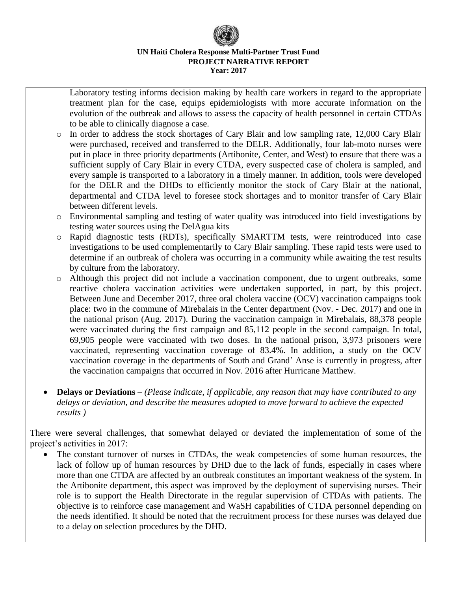Laboratory testing informs decision making by health care workers in regard to the appropriate treatment plan for the case, equips epidemiologists with more accurate information on the evolution of the outbreak and allows to assess the capacity of health personnel in certain CTDAs to be able to clinically diagnose a case.

- o In order to address the stock shortages of Cary Blair and low sampling rate, 12,000 Cary Blair were purchased, received and transferred to the DELR. Additionally, four lab-moto nurses were put in place in three priority departments (Artibonite, Center, and West) to ensure that there was a sufficient supply of Cary Blair in every CTDA, every suspected case of cholera is sampled, and every sample is transported to a laboratory in a timely manner. In addition, tools were developed for the DELR and the DHDs to efficiently monitor the stock of Cary Blair at the national, departmental and CTDA level to foresee stock shortages and to monitor transfer of Cary Blair between different levels.
- o Environmental sampling and testing of water quality was introduced into field investigations by testing water sources using the DelAgua kits
- o Rapid diagnostic tests (RDTs), specifically SMARTTM tests, were reintroduced into case investigations to be used complementarily to Cary Blair sampling. These rapid tests were used to determine if an outbreak of cholera was occurring in a community while awaiting the test results by culture from the laboratory.
- o Although this project did not include a vaccination component, due to urgent outbreaks, some reactive cholera vaccination activities were undertaken supported, in part, by this project. Between June and December 2017, three oral cholera vaccine (OCV) vaccination campaigns took place: two in the commune of Mirebalais in the Center department (Nov. - Dec. 2017) and one in the national prison (Aug. 2017). During the vaccination campaign in Mirebalais, 88,378 people were vaccinated during the first campaign and 85,112 people in the second campaign. In total, 69,905 people were vaccinated with two doses. In the national prison, 3,973 prisoners were vaccinated, representing vaccination coverage of 83.4%. In addition, a study on the OCV vaccination coverage in the departments of South and Grand' Anse is currently in progress, after the vaccination campaigns that occurred in Nov. 2016 after Hurricane Matthew.
- **Delays or Deviations** *– (Please indicate, if applicable, any reason that may have contributed to any delays or deviation, and describe the measures adopted to move forward to achieve the expected results )*

There were several challenges, that somewhat delayed or deviated the implementation of some of the project's activities in 2017:

The constant turnover of nurses in CTDAs, the weak competencies of some human resources, the lack of follow up of human resources by DHD due to the lack of funds, especially in cases where more than one CTDA are affected by an outbreak constitutes an important weakness of the system. In the Artibonite department, this aspect was improved by the deployment of supervising nurses. Their role is to support the Health Directorate in the regular supervision of CTDAs with patients. The objective is to reinforce case management and WaSH capabilities of CTDA personnel depending on the needs identified. It should be noted that the recruitment process for these nurses was delayed due to a delay on selection procedures by the DHD.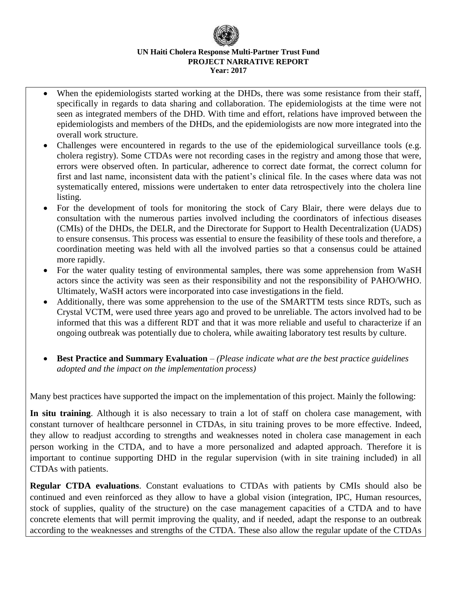- When the epidemiologists started working at the DHDs, there was some resistance from their staff, specifically in regards to data sharing and collaboration. The epidemiologists at the time were not seen as integrated members of the DHD. With time and effort, relations have improved between the epidemiologists and members of the DHDs, and the epidemiologists are now more integrated into the overall work structure.
- Challenges were encountered in regards to the use of the epidemiological surveillance tools (e.g. cholera registry). Some CTDAs were not recording cases in the registry and among those that were, errors were observed often. In particular, adherence to correct date format, the correct column for first and last name, inconsistent data with the patient's clinical file. In the cases where data was not systematically entered, missions were undertaken to enter data retrospectively into the cholera line listing.
- For the development of tools for monitoring the stock of Cary Blair, there were delays due to consultation with the numerous parties involved including the coordinators of infectious diseases (CMIs) of the DHDs, the DELR, and the Directorate for Support to Health Decentralization (UADS) to ensure consensus. This process was essential to ensure the feasibility of these tools and therefore, a coordination meeting was held with all the involved parties so that a consensus could be attained more rapidly.
- For the water quality testing of environmental samples, there was some apprehension from WaSH actors since the activity was seen as their responsibility and not the responsibility of PAHO/WHO. Ultimately, WaSH actors were incorporated into case investigations in the field.
- Additionally, there was some apprehension to the use of the SMARTTM tests since RDTs, such as Crystal VCTM, were used three years ago and proved to be unreliable. The actors involved had to be informed that this was a different RDT and that it was more reliable and useful to characterize if an ongoing outbreak was potentially due to cholera, while awaiting laboratory test results by culture.
- **Best Practice and Summary Evaluation** *– (Please indicate what are the best practice guidelines adopted and the impact on the implementation process)*

Many best practices have supported the impact on the implementation of this project. Mainly the following:

**In situ training**. Although it is also necessary to train a lot of staff on cholera case management, with constant turnover of healthcare personnel in CTDAs, in situ training proves to be more effective. Indeed, they allow to readjust according to strengths and weaknesses noted in cholera case management in each person working in the CTDA, and to have a more personalized and adapted approach. Therefore it is important to continue supporting DHD in the regular supervision (with in site training included) in all CTDAs with patients.

**Regular CTDA evaluations**. Constant evaluations to CTDAs with patients by CMIs should also be continued and even reinforced as they allow to have a global vision (integration, IPC, Human resources, stock of supplies, quality of the structure) on the case management capacities of a CTDA and to have concrete elements that will permit improving the quality, and if needed, adapt the response to an outbreak according to the weaknesses and strengths of the CTDA. These also allow the regular update of the CTDAs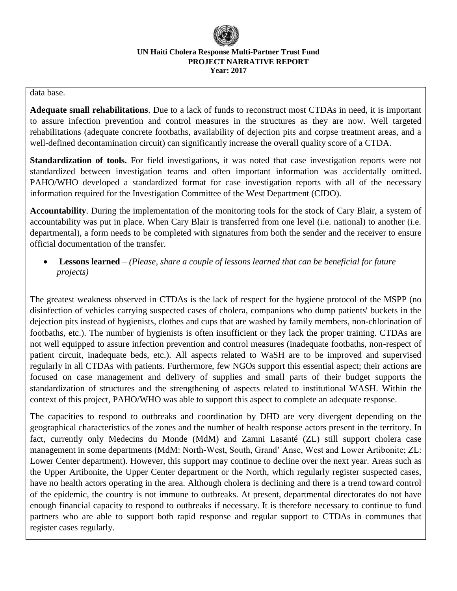#### data base.

**Adequate small rehabilitations**. Due to a lack of funds to reconstruct most CTDAs in need, it is important to assure infection prevention and control measures in the structures as they are now. Well targeted rehabilitations (adequate concrete footbaths, availability of dejection pits and corpse treatment areas, and a well-defined decontamination circuit) can significantly increase the overall quality score of a CTDA.

**Standardization of tools.** For field investigations, it was noted that case investigation reports were not standardized between investigation teams and often important information was accidentally omitted. PAHO/WHO developed a standardized format for case investigation reports with all of the necessary information required for the Investigation Committee of the West Department (CIDO).

**Accountability**. During the implementation of the monitoring tools for the stock of Cary Blair, a system of accountability was put in place. When Cary Blair is transferred from one level (i.e. national) to another (i.e. departmental), a form needs to be completed with signatures from both the sender and the receiver to ensure official documentation of the transfer.

• **Lessons learned** *– (Please, share a couple of lessons learned that can be beneficial for future projects)* 

The greatest weakness observed in CTDAs is the lack of respect for the hygiene protocol of the MSPP (no disinfection of vehicles carrying suspected cases of cholera, companions who dump patients' buckets in the dejection pits instead of hygienists, clothes and cups that are washed by family members, non-chlorination of footbaths, etc.). The number of hygienists is often insufficient or they lack the proper training. CTDAs are not well equipped to assure infection prevention and control measures (inadequate footbaths, non-respect of patient circuit, inadequate beds, etc.). All aspects related to WaSH are to be improved and supervised regularly in all CTDAs with patients. Furthermore, few NGOs support this essential aspect; their actions are focused on case management and delivery of supplies and small parts of their budget supports the standardization of structures and the strengthening of aspects related to institutional WASH. Within the context of this project, PAHO/WHO was able to support this aspect to complete an adequate response.

The capacities to respond to outbreaks and coordination by DHD are very divergent depending on the geographical characteristics of the zones and the number of health response actors present in the territory. In fact, currently only Medecins du Monde (MdM) and Zamni Lasanté (ZL) still support cholera case management in some departments (MdM: North-West, South, Grand' Anse, West and Lower Artibonite; ZL: Lower Center department). However, this support may continue to decline over the next year. Areas such as the Upper Artibonite, the Upper Center department or the North, which regularly register suspected cases, have no health actors operating in the area. Although cholera is declining and there is a trend toward control of the epidemic, the country is not immune to outbreaks. At present, departmental directorates do not have enough financial capacity to respond to outbreaks if necessary. It is therefore necessary to continue to fund partners who are able to support both rapid response and regular support to CTDAs in communes that register cases regularly.